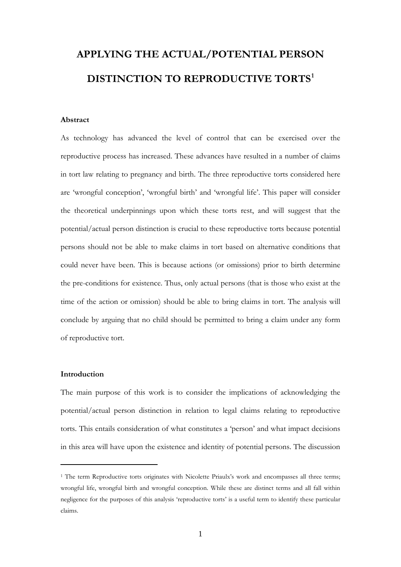# **APPLYING THE ACTUAL/POTENTIAL PERSON DISTINCTION TO REPRODUCTIVE TORTS[1](#page-0-0)**

#### **Abstract**

As technology has advanced the level of control that can be exercised over the reproductive process has increased. These advances have resulted in a number of claims in tort law relating to pregnancy and birth. The three reproductive torts considered here are 'wrongful conception', 'wrongful birth' and 'wrongful life'. This paper will consider the theoretical underpinnings upon which these torts rest, and will suggest that the potential/actual person distinction is crucial to these reproductive torts because potential persons should not be able to make claims in tort based on alternative conditions that could never have been. This is because actions (or omissions) prior to birth determine the pre-conditions for existence. Thus, only actual persons (that is those who exist at the time of the action or omission) should be able to bring claims in tort. The analysis will conclude by arguing that no child should be permitted to bring a claim under any form of reproductive tort.

#### **Introduction**

-

The main purpose of this work is to consider the implications of acknowledging the potential/actual person distinction in relation to legal claims relating to reproductive torts. This entails consideration of what constitutes a 'person' and what impact decisions in this area will have upon the existence and identity of potential persons. The discussion

<span id="page-0-0"></span><sup>&</sup>lt;sup>1</sup> The term Reproductive torts originates with Nicolette Priaulx's work and encompasses all three terms; wrongful life, wrongful birth and wrongful conception. While these are distinct terms and all fall within negligence for the purposes of this analysis 'reproductive torts' is a useful term to identify these particular claims.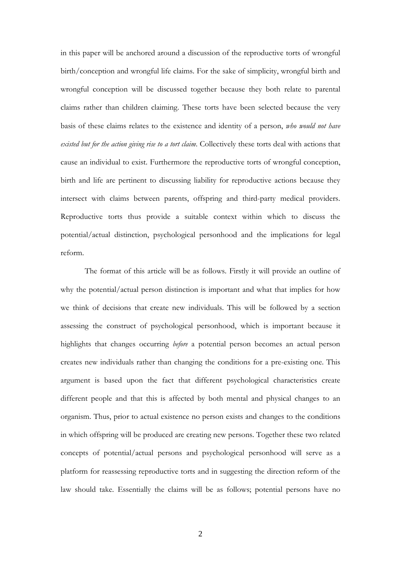in this paper will be anchored around a discussion of the reproductive torts of wrongful birth/conception and wrongful life claims. For the sake of simplicity, wrongful birth and wrongful conception will be discussed together because they both relate to parental claims rather than children claiming. These torts have been selected because the very basis of these claims relates to the existence and identity of a person, *who would not have existed but for the action giving rise to a tort claim*. Collectively these torts deal with actions that cause an individual to exist. Furthermore the reproductive torts of wrongful conception, birth and life are pertinent to discussing liability for reproductive actions because they intersect with claims between parents, offspring and third-party medical providers. Reproductive torts thus provide a suitable context within which to discuss the potential/actual distinction, psychological personhood and the implications for legal reform.

The format of this article will be as follows. Firstly it will provide an outline of why the potential/actual person distinction is important and what that implies for how we think of decisions that create new individuals. This will be followed by a section assessing the construct of psychological personhood, which is important because it highlights that changes occurring *before* a potential person becomes an actual person creates new individuals rather than changing the conditions for a pre-existing one. This argument is based upon the fact that different psychological characteristics create different people and that this is affected by both mental and physical changes to an organism. Thus, prior to actual existence no person exists and changes to the conditions in which offspring will be produced are creating new persons. Together these two related concepts of potential/actual persons and psychological personhood will serve as a platform for reassessing reproductive torts and in suggesting the direction reform of the law should take. Essentially the claims will be as follows; potential persons have no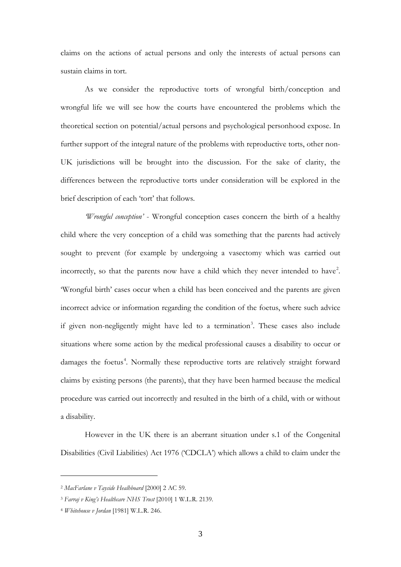claims on the actions of actual persons and only the interests of actual persons can sustain claims in tort.

As we consider the reproductive torts of wrongful birth/conception and wrongful life we will see how the courts have encountered the problems which the theoretical section on potential/actual persons and psychological personhood expose. In further support of the integral nature of the problems with reproductive torts, other non-UK jurisdictions will be brought into the discussion. For the sake of clarity, the differences between the reproductive torts under consideration will be explored in the brief description of each 'tort' that follows.

*'Wrongful conception'* - Wrongful conception cases concern the birth of a healthy child where the very conception of a child was something that the parents had actively sought to prevent (for example by undergoing a vasectomy which was carried out incorrectly, so that the parents now have a child which they never intended to have<sup>[2](#page-2-0)</sup>. 'Wrongful birth' cases occur when a child has been conceived and the parents are given incorrect advice or information regarding the condition of the foetus, where such advice if given non-negligently might have led to a termination<sup>[3](#page-2-1)</sup>. These cases also include situations where some action by the medical professional causes a disability to occur or damages the foetus<sup>[4](#page-2-2)</sup>. Normally these reproductive torts are relatively straight forward claims by existing persons (the parents), that they have been harmed because the medical procedure was carried out incorrectly and resulted in the birth of a child, with or without a disability.

However in the UK there is an aberrant situation under s.1 of the Congenital Disabilities (Civil Liabilities) Act 1976 ('CDCLA') which allows a child to claim under the

<span id="page-2-0"></span><sup>2</sup> *MacFarlane v Tayside Healhboard* [2000] 2 AC 59.

<span id="page-2-1"></span><sup>3</sup> *Farraj v King's Healthcare NHS Trust* [2010] 1 W.L.R. 2139.

<span id="page-2-2"></span><sup>4</sup> *Whitehouse v Jordan* [1981] W.L.R. 246.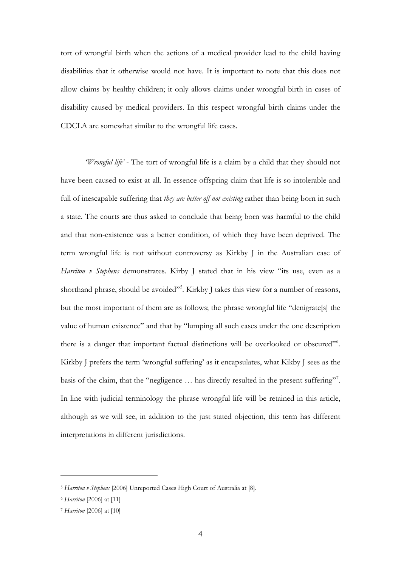tort of wrongful birth when the actions of a medical provider lead to the child having disabilities that it otherwise would not have. It is important to note that this does not allow claims by healthy children; it only allows claims under wrongful birth in cases of disability caused by medical providers. In this respect wrongful birth claims under the CDCLA are somewhat similar to the wrongful life cases.

*'Wrongful life'* - The tort of wrongful life is a claim by a child that they should not have been caused to exist at all. In essence offspring claim that life is so intolerable and full of inescapable suffering that *they are better off not existing* rather than being born in such a state. The courts are thus asked to conclude that being born was harmful to the child and that non-existence was a better condition, of which they have been deprived. The term wrongful life is not without controversy as Kirkby J in the Australian case of *Harriton v Stephens* demonstrates. Kirby *J* stated that in his view "its use, even as a shorthand phrase, should be avoided"<sup>5</sup>. Kirkby J takes this view for a number of reasons, but the most important of them are as follows; the phrase wrongful life "denigrate[s] the value of human existence" and that by "lumping all such cases under the one description there is a danger that important factual distinctions will be overlooked or obscured"<sup>[6](#page-3-1)</sup>. Kirkby J prefers the term 'wrongful suffering' as it encapsulates, what Kikby J sees as the basis of the claim, that the "negligence ... has directly resulted in the present suffering"<sup>[7](#page-3-2)</sup>. In line with judicial terminology the phrase wrongful life will be retained in this article, although as we will see, in addition to the just stated objection, this term has different interpretations in different jurisdictions.

<span id="page-3-0"></span><sup>5</sup> *Harriton v Stephens* [2006] Unreported Cases High Court of Australia at [8].

<span id="page-3-1"></span><sup>6</sup> *Harriton* [2006] at [11]

<span id="page-3-2"></span><sup>7</sup> *Harriton* [2006] at [10]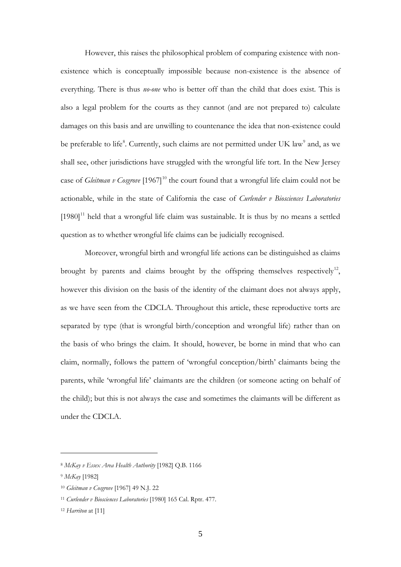However, this raises the philosophical problem of comparing existence with nonexistence which is conceptually impossible because non-existence is the absence of everything. There is thus *no-one* who is better off than the child that does exist. This is also a legal problem for the courts as they cannot (and are not prepared to) calculate damages on this basis and are unwilling to countenance the idea that non-existence could be preferable to life<sup>[8](#page-4-0)</sup>. Currently, such claims are not permitted under UK law<sup>[9](#page-4-1)</sup> and, as we shall see, other jurisdictions have struggled with the wrongful life tort. In the New Jersey case of *Gleitman v Cosgrove* [1967]<sup>[10](#page-4-2)</sup> the court found that a wrongful life claim could not be actionable, while in the state of California the case of *Curlender v Biosciences Laboratories*  $[1980]$ <sup>[11](#page-4-3)</sup> held that a wrongful life claim was sustainable. It is thus by no means a settled question as to whether wrongful life claims can be judicially recognised.

Moreover, wrongful birth and wrongful life actions can be distinguished as claims brought by parents and claims brought by the offspring themselves respectively<sup>12</sup>, however this division on the basis of the identity of the claimant does not always apply, as we have seen from the CDCLA. Throughout this article, these reproductive torts are separated by type (that is wrongful birth/conception and wrongful life) rather than on the basis of who brings the claim. It should, however, be borne in mind that who can claim, normally, follows the pattern of 'wrongful conception/birth' claimants being the parents, while 'wrongful life' claimants are the children (or someone acting on behalf of the child); but this is not always the case and sometimes the claimants will be different as under the CDCLA.

<span id="page-4-0"></span><sup>8</sup> *McKay v Essex Area Health Authority* [1982] Q.B. 1166

<span id="page-4-1"></span><sup>9</sup> *McKay* [1982]

<span id="page-4-2"></span><sup>10</sup> *Gleitman v Cosgrove* [1967] 49 N.J. 22

<span id="page-4-3"></span><sup>11</sup> *Curlender v Biosciences Laboratories* [1980] 165 Cal. Rptr. 477.

<span id="page-4-4"></span><sup>12</sup> *Harriton* at [11]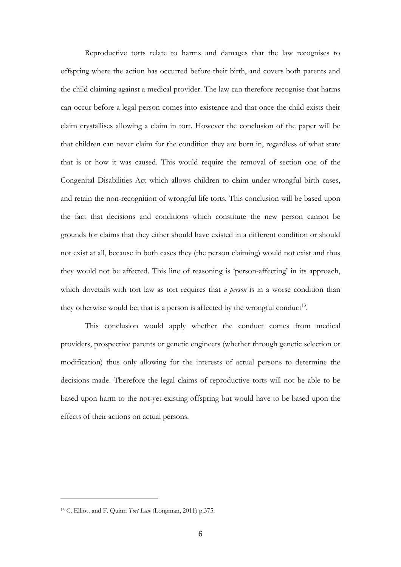Reproductive torts relate to harms and damages that the law recognises to offspring where the action has occurred before their birth, and covers both parents and the child claiming against a medical provider. The law can therefore recognise that harms can occur before a legal person comes into existence and that once the child exists their claim crystallises allowing a claim in tort. However the conclusion of the paper will be that children can never claim for the condition they are born in, regardless of what state that is or how it was caused. This would require the removal of section one of the Congenital Disabilities Act which allows children to claim under wrongful birth cases, and retain the non-recognition of wrongful life torts. This conclusion will be based upon the fact that decisions and conditions which constitute the new person cannot be grounds for claims that they either should have existed in a different condition or should not exist at all, because in both cases they (the person claiming) would not exist and thus they would not be affected. This line of reasoning is 'person-affecting' in its approach, which dovetails with tort law as tort requires that *a person* is in a worse condition than they otherwise would be; that is a person is affected by the wrongful conduct<sup>[13](#page-5-0)</sup>.

This conclusion would apply whether the conduct comes from medical providers, prospective parents or genetic engineers (whether through genetic selection or modification) thus only allowing for the interests of actual persons to determine the decisions made. Therefore the legal claims of reproductive torts will not be able to be based upon harm to the not-yet-existing offspring but would have to be based upon the effects of their actions on actual persons.

<span id="page-5-0"></span><sup>13</sup> C. Elliott and F. Quinn *Tort Law* (Longman, 2011) p.375.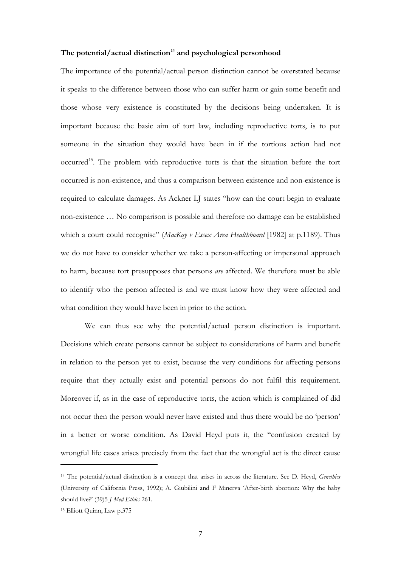## **The potential/actual distinction[14](#page-6-0) and psychological personhood**

The importance of the potential/actual person distinction cannot be overstated because it speaks to the difference between those who can suffer harm or gain some benefit and those whose very existence is constituted by the decisions being undertaken. It is important because the basic aim of tort law, including reproductive torts, is to put someone in the situation they would have been in if the tortious action had not occurred<sup>[15](#page-6-1)</sup>. The problem with reproductive torts is that the situation before the tort occurred is non-existence, and thus a comparison between existence and non-existence is required to calculate damages. As Ackner LJ states "how can the court begin to evaluate non-existence … No comparison is possible and therefore no damage can be established which a court could recognise" (*MacKay v Essex Area Healthboard* [1982] at p.1189). Thus we do not have to consider whether we take a person-affecting or impersonal approach to harm, because tort presupposes that persons *are* affected. We therefore must be able to identify who the person affected is and we must know how they were affected and what condition they would have been in prior to the action.

We can thus see why the potential/actual person distinction is important. Decisions which create persons cannot be subject to considerations of harm and benefit in relation to the person yet to exist, because the very conditions for affecting persons require that they actually exist and potential persons do not fulfil this requirement. Moreover if, as in the case of reproductive torts, the action which is complained of did not occur then the person would never have existed and thus there would be no 'person' in a better or worse condition. As David Heyd puts it, the "confusion created by wrongful life cases arises precisely from the fact that the wrongful act is the direct cause

<span id="page-6-0"></span><sup>14</sup> The potential/actual distinction is a concept that arises in across the literature. See D. Heyd, *Genethics* (University of California Press, 1992); A. Giubilini and F Minerva 'After-birth abortion: Why the baby should live?' (39)5 *J Med Ethics* 261.

<span id="page-6-1"></span><sup>15</sup> Elliott Quinn, Law p.375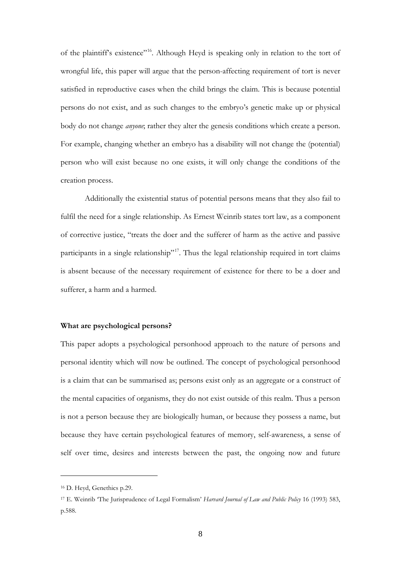of the plaintiff's existence"<sup>[16](#page-7-0)</sup>. Although Heyd is speaking only in relation to the tort of wrongful life, this paper will argue that the person-affecting requirement of tort is never satisfied in reproductive cases when the child brings the claim. This is because potential persons do not exist, and as such changes to the embryo's genetic make up or physical body do not change *anyone*; rather they alter the genesis conditions which create a person. For example, changing whether an embryo has a disability will not change the (potential) person who will exist because no one exists, it will only change the conditions of the creation process.

Additionally the existential status of potential persons means that they also fail to fulfil the need for a single relationship. As Ernest Weinrib states tort law, as a component of corrective justice, "treats the doer and the sufferer of harm as the active and passive participants in a single relationship"<sup>17</sup>. Thus the legal relationship required in tort claims is absent because of the necessary requirement of existence for there to be a doer and sufferer, a harm and a harmed.

#### **What are psychological persons?**

This paper adopts a psychological personhood approach to the nature of persons and personal identity which will now be outlined. The concept of psychological personhood is a claim that can be summarised as; persons exist only as an aggregate or a construct of the mental capacities of organisms, they do not exist outside of this realm. Thus a person is not a person because they are biologically human, or because they possess a name, but because they have certain psychological features of memory, self-awareness, a sense of self over time, desires and interests between the past, the ongoing now and future

<span id="page-7-0"></span><sup>16</sup> D. Heyd, Genethics p.29.

<span id="page-7-1"></span><sup>17</sup> E. Weinrib 'The Jurisprudence of Legal Formalism' *Harvard Journal of Law and Public Policy* 16 (1993) 583, p.588.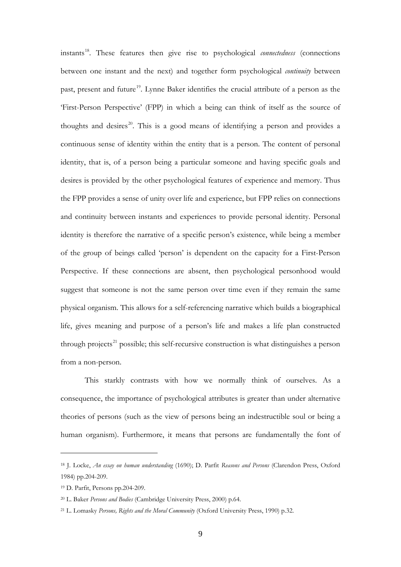instants[18.](#page-8-0) These features then give rise to psychological *connectedness* (connections between one instant and the next) and together form psychological *continuity* between past, present and future<sup>19</sup>. Lynne Baker identifies the crucial attribute of a person as the 'First-Person Perspective' (FPP) in which a being can think of itself as the source of thoughts and desires<sup>20</sup>. This is a good means of identifying a person and provides a continuous sense of identity within the entity that is a person. The content of personal identity, that is, of a person being a particular someone and having specific goals and desires is provided by the other psychological features of experience and memory. Thus the FPP provides a sense of unity over life and experience, but FPP relies on connections and continuity between instants and experiences to provide personal identity. Personal identity is therefore the narrative of a specific person's existence, while being a member of the group of beings called 'person' is dependent on the capacity for a First-Person Perspective. If these connections are absent, then psychological personhood would suggest that someone is not the same person over time even if they remain the same physical organism. This allows for a self-referencing narrative which builds a biographical life, gives meaning and purpose of a person's life and makes a life plan constructed through projects<sup>[21](#page-8-3)</sup> possible; this self-recursive construction is what distinguishes a person from a non-person.

This starkly contrasts with how we normally think of ourselves. As a consequence, the importance of psychological attributes is greater than under alternative theories of persons (such as the view of persons being an indestructible soul or being a human organism). Furthermore, it means that persons are fundamentally the font of

<span id="page-8-0"></span><sup>18</sup> J. Locke, *An essay on human understanding* (1690); D. Parfit *Reasons and Persons* (Clarendon Press, Oxford 1984) pp.204-209.

<span id="page-8-1"></span><sup>19</sup> D. Parfit, Persons pp.204-209.

<span id="page-8-2"></span><sup>20</sup> L. Baker *Persons and Bodies* (Cambridge University Press, 2000) p.64.

<span id="page-8-3"></span><sup>21</sup> L. Lomasky *Persons, Rights and the Moral Community* (Oxford University Press, 1990) p.32.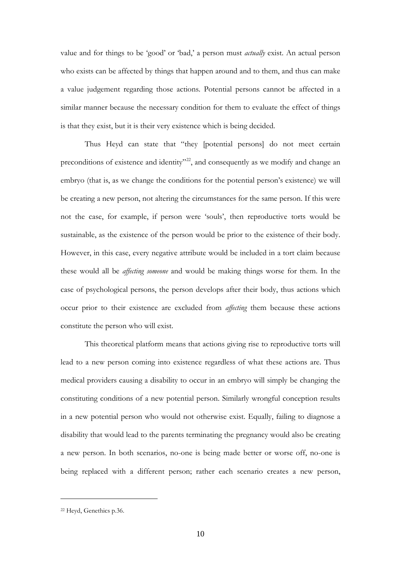value and for things to be 'good' or 'bad,' a person must *actually* exist. An actual person who exists can be affected by things that happen around and to them, and thus can make a value judgement regarding those actions. Potential persons cannot be affected in a similar manner because the necessary condition for them to evaluate the effect of things is that they exist, but it is their very existence which is being decided.

Thus Heyd can state that "they [potential persons] do not meet certain preconditions of existence and identity"<sup>[22](#page-9-0)</sup>, and consequently as we modify and change an embryo (that is, as we change the conditions for the potential person's existence) we will be creating a new person, not altering the circumstances for the same person. If this were not the case, for example, if person were 'souls', then reproductive torts would be sustainable, as the existence of the person would be prior to the existence of their body. However, in this case, every negative attribute would be included in a tort claim because these would all be *affecting someone* and would be making things worse for them. In the case of psychological persons, the person develops after their body, thus actions which occur prior to their existence are excluded from *affecting* them because these actions constitute the person who will exist.

This theoretical platform means that actions giving rise to reproductive torts will lead to a new person coming into existence regardless of what these actions are. Thus medical providers causing a disability to occur in an embryo will simply be changing the constituting conditions of a new potential person. Similarly wrongful conception results in a new potential person who would not otherwise exist. Equally, failing to diagnose a disability that would lead to the parents terminating the pregnancy would also be creating a new person. In both scenarios, no-one is being made better or worse off, no-one is being replaced with a different person; rather each scenario creates a new person,

<span id="page-9-0"></span><sup>22</sup> Heyd, Genethics p.36.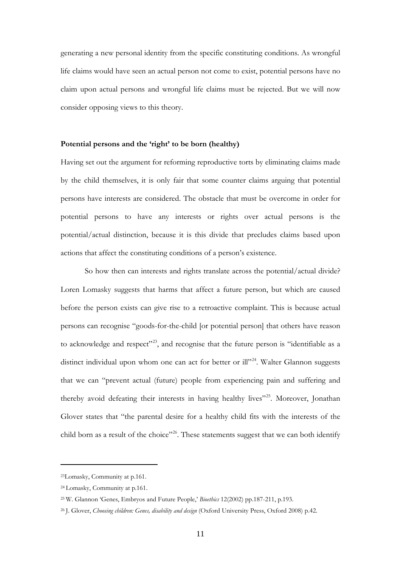generating a new personal identity from the specific constituting conditions. As wrongful life claims would have seen an actual person not come to exist, potential persons have no claim upon actual persons and wrongful life claims must be rejected. But we will now consider opposing views to this theory.

#### **Potential persons and the 'right' to be born (healthy)**

Having set out the argument for reforming reproductive torts by eliminating claims made by the child themselves, it is only fair that some counter claims arguing that potential persons have interests are considered. The obstacle that must be overcome in order for potential persons to have any interests or rights over actual persons is the potential/actual distinction, because it is this divide that precludes claims based upon actions that affect the constituting conditions of a person's existence.

So how then can interests and rights translate across the potential/actual divide? Loren Lomasky suggests that harms that affect a future person, but which are caused before the person exists can give rise to a retroactive complaint. This is because actual persons can recognise "goods-for-the-child [or potential person] that others have reason to acknowledge and respect"<sup>[23](#page-10-0)</sup>, and recognise that the future person is "identifiable as a distinct individual upon whom one can act for better or ill"<sup>24</sup>. Walter Glannon suggests that we can "prevent actual (future) people from experiencing pain and suffering and thereby avoid defeating their interests in having healthy lives"<sup>25</sup>. Moreover, Jonathan Glover states that "the parental desire for a healthy child fits with the interests of the child born as a result of the choice"<sup>[26](#page-10-3)</sup>. These statements suggest that we can both identify

<span id="page-10-0"></span><sup>23</sup>Lomasky, Community at p.161.

<span id="page-10-1"></span><sup>24</sup> Lomasky, Community at p.161.

<span id="page-10-2"></span><sup>25</sup> W. Glannon 'Genes, Embryos and Future People,' *Bioethics* 12(2002) pp.187-211, p.193.

<span id="page-10-3"></span><sup>26</sup> J. Glover, *Choosing children: Genes, disability and design* (Oxford University Press, Oxford 2008) p.42.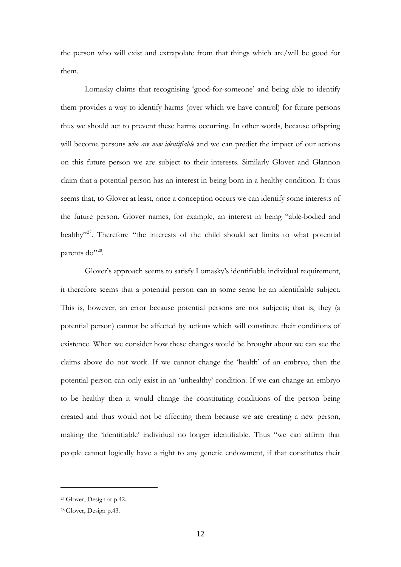the person who will exist and extrapolate from that things which are/will be good for them.

Lomasky claims that recognising 'good-for-someone' and being able to identify them provides a way to identify harms (over which we have control) for future persons thus we should act to prevent these harms occurring. In other words, because offspring will become persons *who are now identifiable* and we can predict the impact of our actions on this future person we are subject to their interests. Similarly Glover and Glannon claim that a potential person has an interest in being born in a healthy condition. It thus seems that, to Glover at least, once a conception occurs we can identify some interests of the future person. Glover names, for example, an interest in being "able-bodied and healthy"<sup>27</sup>. Therefore "the interests of the child should set limits to what potential parents do"<sup>[28](#page-11-1)</sup>.

Glover's approach seems to satisfy Lomasky's identifiable individual requirement, it therefore seems that a potential person can in some sense be an identifiable subject. This is, however, an error because potential persons are not subjects; that is, they (a potential person) cannot be affected by actions which will constitute their conditions of existence. When we consider how these changes would be brought about we can see the claims above do not work. If we cannot change the 'health' of an embryo, then the potential person can only exist in an 'unhealthy' condition. If we can change an embryo to be healthy then it would change the constituting conditions of the person being created and thus would not be affecting them because we are creating a new person, making the 'identifiable' individual no longer identifiable. Thus "we can affirm that people cannot logically have a right to any genetic endowment, if that constitutes their

<span id="page-11-0"></span><sup>27</sup> Glover, Design at p.42.

<span id="page-11-1"></span><sup>28</sup> Glover, Design p.43.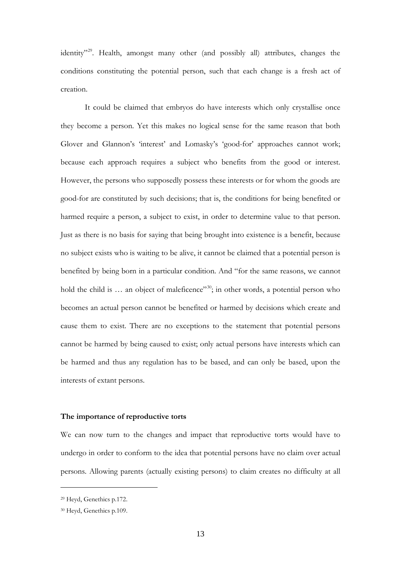identity<sup>"29</sup>. Health, amongst many other (and possibly all) attributes, changes the conditions constituting the potential person, such that each change is a fresh act of creation.

It could be claimed that embryos do have interests which only crystallise once they become a person. Yet this makes no logical sense for the same reason that both Glover and Glannon's 'interest' and Lomasky's 'good-for' approaches cannot work; because each approach requires a subject who benefits from the good or interest. However, the persons who supposedly possess these interests or for whom the goods are good-for are constituted by such decisions; that is, the conditions for being benefited or harmed require a person, a subject to exist, in order to determine value to that person. Just as there is no basis for saying that being brought into existence is a benefit, because no subject exists who is waiting to be alive, it cannot be claimed that a potential person is benefited by being born in a particular condition. And "for the same reasons, we cannot hold the child is ... an object of maleficence"<sup>[30](#page-12-1)</sup>; in other words, a potential person who becomes an actual person cannot be benefited or harmed by decisions which create and cause them to exist. There are no exceptions to the statement that potential persons cannot be harmed by being caused to exist; only actual persons have interests which can be harmed and thus any regulation has to be based, and can only be based, upon the interests of extant persons.

### **The importance of reproductive torts**

We can now turn to the changes and impact that reproductive torts would have to undergo in order to conform to the idea that potential persons have no claim over actual persons. Allowing parents (actually existing persons) to claim creates no difficulty at all

<span id="page-12-0"></span><sup>29</sup> Heyd, Genethics p.172.

<span id="page-12-1"></span><sup>30</sup> Heyd, Genethics p.109.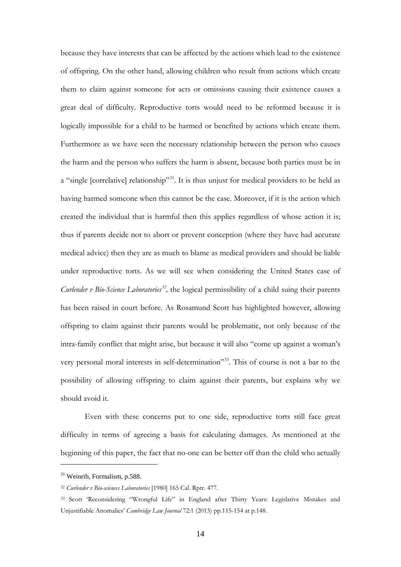because they have interests that can be affected by the actions which lead to the existence of offspring. On the other hand, allowing children who result from actions which create them to claim against someone for acts or omissions causing their existence causes a great deal of difficulty. Reproductive torts would need to be reformed because it is logically impossible for a child to be harmed or benefited by actions which create them. Furthermore as we have seen the necessary relationship between the person who causes the harm and the person who suffers the harm is absent, because both parties must be in a "single [correlative] relationship"<sup>31</sup>. It is thus unjust for medical providers to be held as having harmed someone when this cannot be the case. Moreover, if it is the action which created the individual that is harmful then this applies regardless of whose action it is; thus if parents decide not to abort or prevent conception (where they have had accurate medical advice) then they are as much to blame as medical providers and should be liable under reproductive torts. As we will see when considering the United States case of *Curlender v Bio-Science Laboratories[32,](#page-13-1)* the logical permissibility of a child suing their parents has been raised in court before. As Rosamund Scott has highlighted however, allowing offspring to claim against their parents would be problematic, not only because of the intra-family conflict that might arise, but because it will also "come up against a woman's very personal moral interests in self-determination"[33.](#page-13-2) This of course is not a bar to the possibility of allowing offspring to claim against their parents, but explains why we should avoid it.

Even with these concerns put to one side, reproductive torts still face great difficulty in terms of agreeing a basis for calculating damages. As mentioned at the beginning of this paper, the fact that no-one can be better off than the child who actually

<span id="page-13-0"></span><sup>31</sup> Weinrib, Formalism, p.588.

<span id="page-13-1"></span><sup>32</sup> *Curlender v Bio-sciences Laboratories* [1980] 165 Cal. Rptr. 477.

<span id="page-13-2"></span><sup>33</sup> Scott 'Reconsidering "Wrongful Life" in England after Thirty Years: Legislative Mistakes and Unjustifiable Anomalies' *Cambridge Law Journal* 72:1 (2013) pp.115-154 at p.148.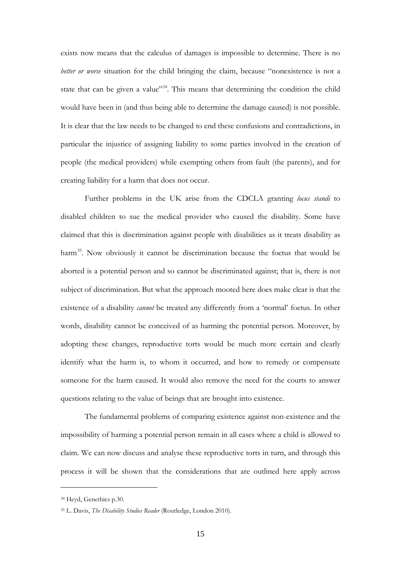exists now means that the calculus of damages is impossible to determine. There is no *better or worse* situation for the child bringing the claim, because "nonexistence is not a state that can be given a value"<sup>[34](#page-14-0)</sup>. This means that determining the condition the child would have been in (and thus being able to determine the damage caused) is not possible. It is clear that the law needs to be changed to end these confusions and contradictions, in particular the injustice of assigning liability to some parties involved in the creation of people (the medical providers) while exempting others from fault (the parents), and for creating liability for a harm that does not occur.

Further problems in the UK arise from the CDCLA granting *locus standi* to disabled children to sue the medical provider who caused the disability. Some have claimed that this is discrimination against people with disabilities as it treats disability as harm<sup>[35](#page-14-1)</sup>. Now obviously it cannot be discrimination because the foetus that would be aborted is a potential person and so cannot be discriminated against; that is, there is not subject of discrimination. But what the approach mooted here does make clear is that the existence of a disability *cannot* be treated any differently from a 'normal' foetus. In other words, disability cannot be conceived of as harming the potential person. Moreover, by adopting these changes, reproductive torts would be much more certain and clearly identify what the harm is, to whom it occurred, and how to remedy or compensate someone for the harm caused. It would also remove the need for the courts to answer questions relating to the value of beings that are brought into existence.

The fundamental problems of comparing existence against non-existence and the impossibility of harming a potential person remain in all cases where a child is allowed to claim. We can now discuss and analyse these reproductive torts in turn, and through this process it will be shown that the considerations that are outlined here apply across

<span id="page-14-0"></span><sup>34</sup> Heyd, Genethics p.30.

<span id="page-14-1"></span><sup>35</sup> L. Davis, *The Disability Studies Reader* (Routledge, London 2010).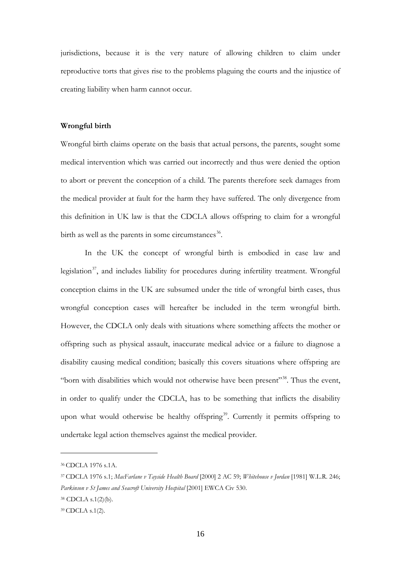jurisdictions, because it is the very nature of allowing children to claim under reproductive torts that gives rise to the problems plaguing the courts and the injustice of creating liability when harm cannot occur.

### **Wrongful birth**

Wrongful birth claims operate on the basis that actual persons, the parents, sought some medical intervention which was carried out incorrectly and thus were denied the option to abort or prevent the conception of a child. The parents therefore seek damages from the medical provider at fault for the harm they have suffered. The only divergence from this definition in UK law is that the CDCLA allows offspring to claim for a wrongful birth as well as the parents in some circumstances<sup>36</sup>.

In the UK the concept of wrongful birth is embodied in case law and legislation $37$ , and includes liability for procedures during infertility treatment. Wrongful conception claims in the UK are subsumed under the title of wrongful birth cases, thus wrongful conception cases will hereafter be included in the term wrongful birth. However, the CDCLA only deals with situations where something affects the mother or offspring such as physical assault, inaccurate medical advice or a failure to diagnose a disability causing medical condition; basically this covers situations where offspring are "born with disabilities which would not otherwise have been present"[38.](#page-15-2) Thus the event, in order to qualify under the CDCLA, has to be something that inflicts the disability upon what would otherwise be healthy offspring<sup>39</sup>. Currently it permits offspring to undertake legal action themselves against the medical provider.

<span id="page-15-0"></span><sup>36</sup> CDCLA 1976 s.1A.

<span id="page-15-1"></span><sup>37</sup> CDCLA 1976 s.1; *MacFarlane v Tayside Health Board* [2000] 2 AC 59; *Whitehouse v Jordan* [1981] W.L.R. 246; *Parkinson v St James and Seacroft University Hospital* [2001] EWCA Civ 530. <sup>38</sup> CDCLA s.1(2)(b).

<span id="page-15-3"></span><span id="page-15-2"></span><sup>39</sup> CDCLA s.1(2).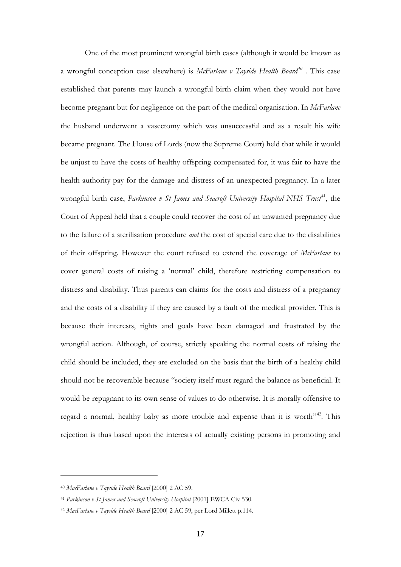One of the most prominent wrongful birth cases (although it would be known as a wrongful conception case elsewhere) is *McFarlane v Tayside Health Board[40](#page-16-0)* . This case established that parents may launch a wrongful birth claim when they would not have become pregnant but for negligence on the part of the medical organisation. In *McFarlane* the husband underwent a vasectomy which was unsuccessful and as a result his wife became pregnant. The House of Lords (now the Supreme Court) held that while it would be unjust to have the costs of healthy offspring compensated for, it was fair to have the health authority pay for the damage and distress of an unexpected pregnancy. In a later wrongful birth case, *Parkinson v St James and Seacroft University Hospital NHS Trust<sup>41</sup>*, the Court of Appeal held that a couple could recover the cost of an unwanted pregnancy due to the failure of a sterilisation procedure *and* the cost of special care due to the disabilities of their offspring. However the court refused to extend the coverage of *McFarlane* to cover general costs of raising a 'normal' child, therefore restricting compensation to distress and disability. Thus parents can claims for the costs and distress of a pregnancy and the costs of a disability if they are caused by a fault of the medical provider. This is because their interests, rights and goals have been damaged and frustrated by the wrongful action. Although, of course, strictly speaking the normal costs of raising the child should be included, they are excluded on the basis that the birth of a healthy child should not be recoverable because "society itself must regard the balance as beneficial. It would be repugnant to its own sense of values to do otherwise. It is morally offensive to regard a normal, healthy baby as more trouble and expense than it is worth"<sup>[42](#page-16-2)</sup>. This rejection is thus based upon the interests of actually existing persons in promoting and

<span id="page-16-0"></span><sup>40</sup> *MacFarlane v Tayside Health Board* [2000] 2 AC 59.

<span id="page-16-1"></span><sup>&</sup>lt;sup>41</sup> *Parkinson v St James and Seacroft University Hospital* [2001] EWCA Civ 530.

<span id="page-16-2"></span><sup>42</sup> *MacFarlane v Tayside Health Board* [2000] 2 AC 59, per Lord Millett p.114.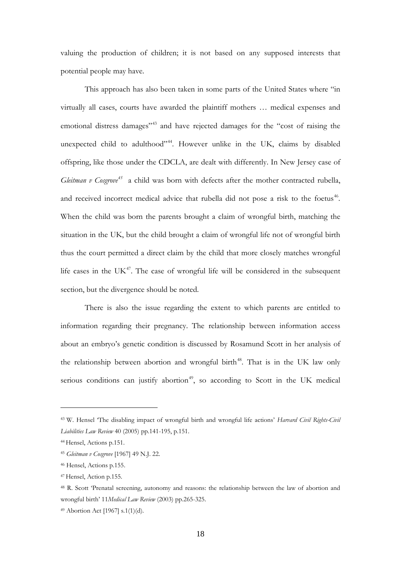valuing the production of children; it is not based on any supposed interests that potential people may have.

This approach has also been taken in some parts of the United States where "in virtually all cases, courts have awarded the plaintiff mothers … medical expenses and emotional distress damages<sup>"[43](#page-17-0)</sup> and have rejected damages for the "cost of raising the unexpected child to adulthood"<sup>44</sup>. However unlike in the UK, claims by disabled offspring, like those under the CDCLA, are dealt with differently. In New Jersey case of *Gleitman v Cosgrove*<sup>[45](#page-17-2)</sup> a child was born with defects after the mother contracted rubella, and received incorrect medical advice that rubella did not pose a risk to the foetus<sup>46</sup>. When the child was born the parents brought a claim of wrongful birth, matching the situation in the UK, but the child brought a claim of wrongful life not of wrongful birth thus the court permitted a direct claim by the child that more closely matches wrongful life cases in the  $UK<sup>47</sup>$  $UK<sup>47</sup>$  $UK<sup>47</sup>$ . The case of wrongful life will be considered in the subsequent section, but the divergence should be noted.

There is also the issue regarding the extent to which parents are entitled to information regarding their pregnancy. The relationship between information access about an embryo's genetic condition is discussed by Rosamund Scott in her analysis of the relationship between abortion and wrongful birth<sup>48</sup>. That is in the UK law only serious conditions can justify abortion<sup>[49](#page-17-6)</sup>, so according to Scott in the UK medical

<span id="page-17-0"></span><sup>43</sup> W. Hensel 'The disabling impact of wrongful birth and wrongful life actions' *Harvard Civil Rights-Civil Liabilities Law Review* 40 (2005) pp.141-195, p.151.

<span id="page-17-1"></span><sup>44</sup> Hensel, Actions p.151.

<span id="page-17-2"></span><sup>45</sup> *Gleitman v Cosgrove* [1967] 49 N.J. 22.

<span id="page-17-3"></span><sup>46</sup> Hensel, Actions p.155.

<span id="page-17-4"></span><sup>47</sup> Hensel, Action p.155.

<span id="page-17-5"></span><sup>48</sup> R. Scott 'Prenatal screening, autonomy and reasons: the relationship between the law of abortion and wrongful birth' 11*Medical Law Review* (2003) pp.265-325.

<span id="page-17-6"></span><sup>49</sup> Abortion Act [1967] s.1(1)(d).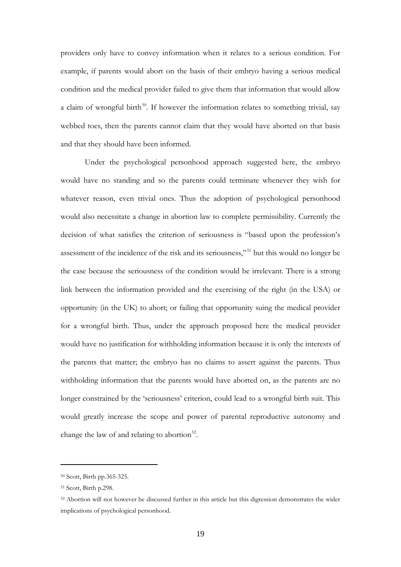providers only have to convey information when it relates to a serious condition. For example, if parents would abort on the basis of their embryo having a serious medical condition and the medical provider failed to give them that information that would allow a claim of wrongful birth<sup>[50](#page-18-0)</sup>. If however the information relates to something trivial, say webbed toes, then the parents cannot claim that they would have aborted on that basis and that they should have been informed.

Under the psychological personhood approach suggested here, the embryo would have no standing and so the parents could terminate whenever they wish for whatever reason, even trivial ones. Thus the adoption of psychological personhood would also necessitate a change in abortion law to complete permissibility. Currently the decision of what satisfies the criterion of seriousness is "based upon the profession's assessment of the incidence of the risk and its seriousness,"[51](#page-18-1) but this would no longer be the case because the seriousness of the condition would be irrelevant. There is a strong link between the information provided and the exercising of the right (in the USA) or opportunity (in the UK) to abort; or failing that opportunity suing the medical provider for a wrongful birth. Thus, under the approach proposed here the medical provider would have no justification for withholding information because it is only the interests of the parents that matter; the embryo has no claims to assert against the parents. Thus withholding information that the parents would have aborted on, as the parents are no longer constrained by the 'seriousness' criterion, could lead to a wrongful birth suit. This would greatly increase the scope and power of parental reproductive autonomy and change the law of and relating to abortion<sup>[52](#page-18-2)</sup>.

<span id="page-18-0"></span><sup>50</sup> Scott, Birth pp.365-325.

<span id="page-18-1"></span><sup>51</sup> Scott, Birth p.298.

<span id="page-18-2"></span><sup>52</sup> Abortion will not however be discussed further in this article but this digression demonstrates the wider implications of psychological personhood.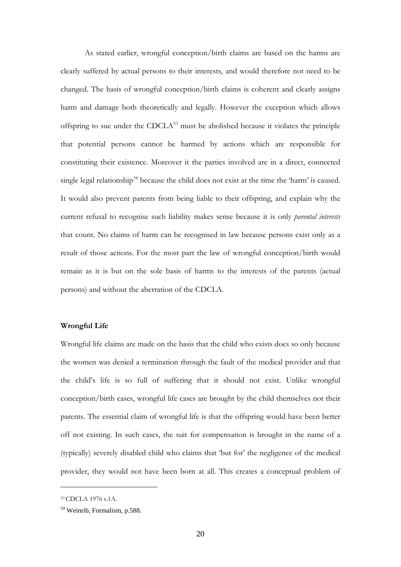As stated earlier, wrongful conception/birth claims are based on the harms are clearly suffered by actual persons to their interests, and would therefore not need to be changed. The basis of wrongful conception/birth claims is coherent and clearly assigns harm and damage both theoretically and legally. However the exception which allows offspring to sue under the  $CDCLA<sup>53</sup>$  $CDCLA<sup>53</sup>$  $CDCLA<sup>53</sup>$  must be abolished because it violates the principle that potential persons cannot be harmed by actions which are responsible for constituting their existence. Moreover it the parties involved are in a direct, connected single legal relationship<sup>[54](#page-19-1)</sup> because the child does not exist at the time the 'harm' is caused. It would also prevent parents from being liable to their offspring, and explain why the current refusal to recognise such liability makes sense because it is only *parental interests*  that count. No claims of harm can be recognised in law because persons exist only as a result of those actions. For the most part the law of wrongful conception/birth would remain as it is but on the sole basis of harms to the interests of the parents (actual persons) and without the aberration of the CDCLA.

#### **Wrongful Life**

Wrongful life claims are made on the basis that the child who exists does so only because the women was denied a termination through the fault of the medical provider and that the child's life is so full of suffering that it should not exist. Unlike wrongful conception/birth cases, wrongful life cases are brought by the child themselves not their parents. The essential claim of wrongful life is that the offspring would have been better off not existing. In such cases, the suit for compensation is brought in the name of a (typically) severely disabled child who claims that 'but for' the negligence of the medical provider, they would not have been born at all. This creates a conceptual problem of

<span id="page-19-0"></span><sup>53</sup> CDCLA 1976 s.1A.

<span id="page-19-1"></span><sup>54</sup> Weinrib, Formalism, p.588.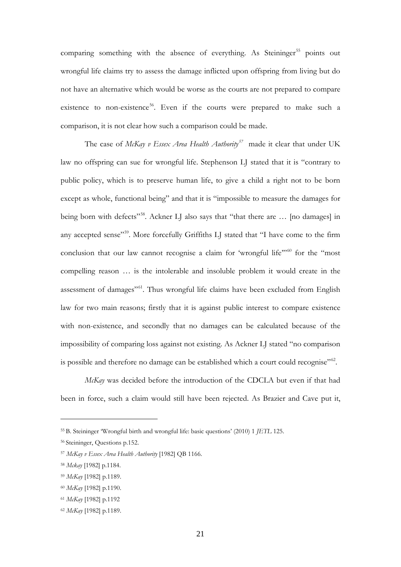comparing something with the absence of everything. As Steininger<sup>[55](#page-20-0)</sup> points out wrongful life claims try to assess the damage inflicted upon offspring from living but do not have an alternative which would be worse as the courts are not prepared to compare existence to non-existence<sup>[56](#page-20-1)</sup>. Even if the courts were prepared to make such a comparison, it is not clear how such a comparison could be made.

The case of *McKay v Essex Area Health Authority[57](#page-20-2)* made it clear that under UK law no offspring can sue for wrongful life. Stephenson LJ stated that it is "contrary to public policy, which is to preserve human life, to give a child a right not to be born except as whole, functional being" and that it is "impossible to measure the damages for being born with defects"<sup>[58](#page-20-3)</sup>. Ackner LJ also says that "that there are ... [no damages] in any accepted sense"<sup>[59](#page-20-4)</sup>. More forcefully Griffiths LJ stated that "I have come to the firm conclusion that our law cannot recognise a claim for 'wrongful life"<sup>60</sup> for the "most compelling reason … is the intolerable and insoluble problem it would create in the assessment of damages"[61.](#page-20-6) Thus wrongful life claims have been excluded from English law for two main reasons; firstly that it is against public interest to compare existence with non-existence, and secondly that no damages can be calculated because of the impossibility of comparing loss against not existing. As Ackner LJ stated "no comparison is possible and therefore no damage can be established which a court could recognise"<sup>[62](#page-20-7)</sup>.

*McKay* was decided before the introduction of the CDCLA but even if that had been in force, such a claim would still have been rejected. As Brazier and Cave put it,

<span id="page-20-0"></span><sup>55</sup> B. Steininger 'Wrongful birth and wrongful life: basic questions' (2010) 1 *JETL* 125.

<span id="page-20-1"></span><sup>56</sup> Steininger, Questions p.152.

<span id="page-20-2"></span><sup>57</sup> *McKay v Essex Area Health Authority* [1982] QB 1166.

<span id="page-20-3"></span><sup>58</sup> *Mckay* [1982] p.1184.

<span id="page-20-4"></span><sup>59</sup> *McKay* [1982] p.1189.

<span id="page-20-5"></span><sup>60</sup> *McKay* [1982] p.1190.

<span id="page-20-6"></span><sup>61</sup> *McKay* [1982] p.1192

<span id="page-20-7"></span><sup>62</sup> *McKay* [1982] p.1189.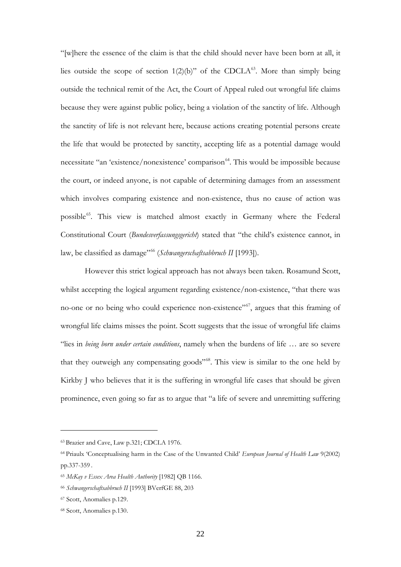"[w]here the essence of the claim is that the child should never have been born at all, it lies outside the scope of section  $1(2)(b)$ " of the CDCLA<sup>[63](#page-21-0)</sup>. More than simply being outside the technical remit of the Act, the Court of Appeal ruled out wrongful life claims because they were against public policy, being a violation of the sanctity of life. Although the sanctity of life is not relevant here, because actions creating potential persons create the life that would be protected by sanctity, accepting life as a potential damage would necessitate "an 'existence/nonexistence' comparison<sup>64</sup>. This would be impossible because the court, or indeed anyone, is not capable of determining damages from an assessment which involves comparing existence and non-existence, thus no cause of action was possible<sup>65</sup>. This view is matched almost exactly in Germany where the Federal Constitutional Court (*Bundesverfassungsgericht*) stated that "the child's existence cannot, in law, be classified as damage"[66](#page-21-3) (*Schwangerschaftsabbruch II* [1993]).

However this strict logical approach has not always been taken. Rosamund Scott, whilst accepting the logical argument regarding existence/non-existence, "that there was no-one or no being who could experience non-existence"<sup>67</sup>, argues that this framing of wrongful life claims misses the point. Scott suggests that the issue of wrongful life claims "lies in *being born under certain conditions*, namely when the burdens of life … are so severe that they outweigh any compensating goods"[68](#page-21-5). This view is similar to the one held by Kirkby J who believes that it is the suffering in wrongful life cases that should be given prominence, even going so far as to argue that "a life of severe and unremitting suffering

<span id="page-21-0"></span><sup>63</sup> Brazier and Cave, Law p.321; CDCLA 1976.

<span id="page-21-1"></span><sup>64</sup> Priaulx 'Conceptualising harm in the Case of the Unwanted Child' *European Journal of Health Law* 9(2002) pp.337-359 .

<span id="page-21-2"></span><sup>65</sup> *McKay v Essex Area Health Authority* [1982] QB 1166.

<span id="page-21-3"></span><sup>66</sup> *Schwangerschaftsabbruch II* [1993] BVerfGE 88, 203

<span id="page-21-4"></span><sup>67</sup> Scott, Anomalies p.129.

<span id="page-21-5"></span><sup>68</sup> Scott, Anomalies p.130.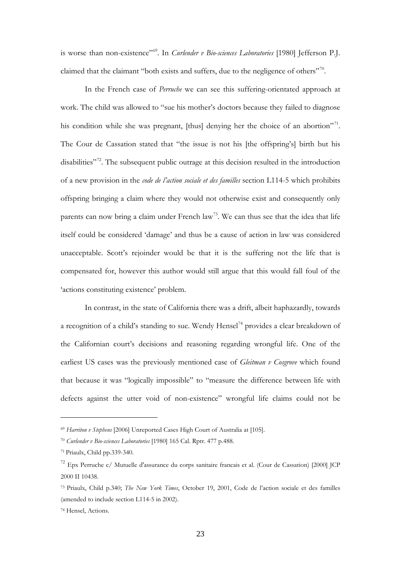is worse than non-existence"<sup>569</sup>. In *Curlender v Bio-sciences Laboratories* [1980] Jefferson P.J. claimed that the claimant "both exists and suffers, due to the negligence of others"<sup>[70](#page-22-1)</sup>.

In the French case of *Perruche* we can see this suffering-orientated approach at work. The child was allowed to "sue his mother's doctors because they failed to diagnose his condition while she was pregnant, [thus] denying her the choice of an abortion"<sup>71</sup>. The Cour de Cassation stated that "the issue is not his [the offspring's] birth but his disabilities"<sup>[72](#page-22-3)</sup>. The subsequent public outrage at this decision resulted in the introduction of a new provision in the *code de l'action sociale et des familles* section L114-5 which prohibits offspring bringing a claim where they would not otherwise exist and consequently only parents can now bring a claim under French  $law<sup>73</sup>$  $law<sup>73</sup>$  $law<sup>73</sup>$ . We can thus see that the idea that life itself could be considered 'damage' and thus be a cause of action in law was considered unacceptable. Scott's rejoinder would be that it is the suffering not the life that is compensated for, however this author would still argue that this would fall foul of the 'actions constituting existence' problem.

In contrast, in the state of California there was a drift, albeit haphazardly, towards a recognition of a child's standing to sue. Wendy Hensel<sup>[74](#page-22-5)</sup> provides a clear breakdown of the Californian court's decisions and reasoning regarding wrongful life. One of the earliest US cases was the previously mentioned case of *Gleitman v Cosgrove* which found that because it was "logically impossible" to "measure the difference between life with defects against the utter void of non-existence" wrongful life claims could not be

<span id="page-22-0"></span><sup>69</sup> *Harriton v Stephens* [2006] Unreported Cases High Court of Australia at [105].

<span id="page-22-1"></span><sup>70</sup> *Curlender v Bio-sciences Laboratories* [1980] 165 Cal. Rptr. 477 p.488.

<span id="page-22-2"></span><sup>71</sup> Priaulx, Child pp.339-340.

<span id="page-22-3"></span><sup>72</sup> Epx Perruche c/ Mutuelle d'assurance du corps sanitaire francais et al. (Cour de Cassation) [2000] JCP 2000 II 10438.

<span id="page-22-4"></span><sup>73</sup> Priaulx, Child p.340; *The New York Times*, October 19, 2001, Code de l'action sociale et des familles (amended to include section L114-5 in 2002).

<span id="page-22-5"></span><sup>74</sup> Hensel, Actions.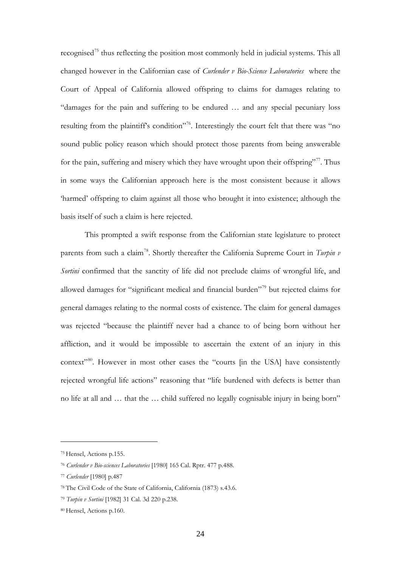recognised<sup>[75](#page-23-0)</sup> thus reflecting the position most commonly held in judicial systems. This all changed however in the Californian case of *Curlender v Bio-Science Laboratories* where the Court of Appeal of California allowed offspring to claims for damages relating to "damages for the pain and suffering to be endured … and any special pecuniary loss resulting from the plaintiff's condition"<sup>[76](#page-23-1)</sup>. Interestingly the court felt that there was "no sound public policy reason which should protect those parents from being answerable for the pain, suffering and misery which they have wrought upon their offspring". Thus in some ways the Californian approach here is the most consistent because it allows 'harmed' offspring to claim against all those who brought it into existence; although the basis itself of such a claim is here rejected.

This prompted a swift response from the Californian state legislature to protect parents from such a claim<sup>[78](#page-23-3)</sup>. Shortly thereafter the California Supreme Court in *Turpin v Sortini* confirmed that the sanctity of life did not preclude claims of wrongful life, and allowed damages for "significant medical and financial burden"[79](#page-23-4) but rejected claims for general damages relating to the normal costs of existence. The claim for general damages was rejected "because the plaintiff never had a chance to of being born without her affliction, and it would be impossible to ascertain the extent of an injury in this context"<sup>[80](#page-23-5)</sup>. However in most other cases the "courts [in the USA] have consistently rejected wrongful life actions" reasoning that "life burdened with defects is better than no life at all and … that the … child suffered no legally cognisable injury in being born"

<span id="page-23-0"></span><sup>75</sup> Hensel, Actions p.155.

<span id="page-23-1"></span><sup>76</sup> *Curlender v Bio-sciences Laboratories* [1980] 165 Cal. Rptr. 477 p.488.

<span id="page-23-2"></span><sup>77</sup> *Curlender* [1980] p.487

<span id="page-23-3"></span><sup>78</sup> The Civil Code of the State of California, California (1873) s.43.6.

<span id="page-23-4"></span><sup>79</sup> *Turpin v Sortini* [1982] 31 Cal. 3d 220 p.238.

<span id="page-23-5"></span><sup>80</sup> Hensel, Actions p.160.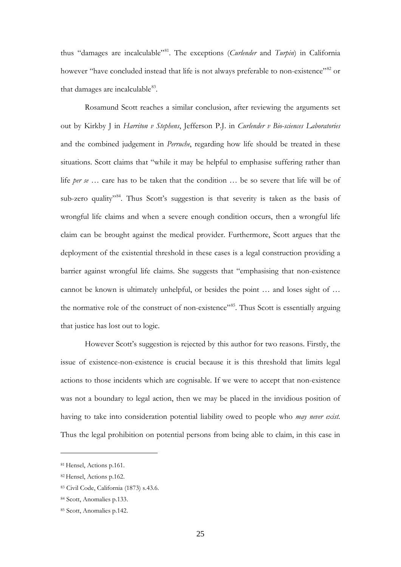thus "damages are incalculable["81.](#page-24-0) The exceptions (*Curlender* and *Turpin*) in California however "have concluded instead that life is not always preferable to non-existence"<sup>[82](#page-24-1)</sup> or that damages are incalculable $83$ .

Rosamund Scott reaches a similar conclusion, after reviewing the arguments set out by Kirkby J in *Harriton v Stephens*, Jefferson P.J. in *Curlender v Bio-sciences Laboratories* and the combined judgement in *Perruche*, regarding how life should be treated in these situations. Scott claims that "while it may be helpful to emphasise suffering rather than life *per se* … care has to be taken that the condition … be so severe that life will be of sub-zero quality<sup>3[84](#page-24-3)</sup>. Thus Scott's suggestion is that severity is taken as the basis of wrongful life claims and when a severe enough condition occurs, then a wrongful life claim can be brought against the medical provider. Furthermore, Scott argues that the deployment of the existential threshold in these cases is a legal construction providing a barrier against wrongful life claims. She suggests that "emphasising that non-existence cannot be known is ultimately unhelpful, or besides the point … and loses sight of … the normative role of the construct of non-existence<sup>"[85](#page-24-4)</sup>. Thus Scott is essentially arguing that justice has lost out to logic.

However Scott's suggestion is rejected by this author for two reasons. Firstly, the issue of existence-non-existence is crucial because it is this threshold that limits legal actions to those incidents which are cognisable. If we were to accept that non-existence was not a boundary to legal action, then we may be placed in the invidious position of having to take into consideration potential liability owed to people who *may never exist*. Thus the legal prohibition on potential persons from being able to claim, in this case in

<span id="page-24-0"></span><sup>81</sup> Hensel, Actions p.161.

<span id="page-24-1"></span><sup>82</sup> Hensel, Actions p.162.

<span id="page-24-2"></span><sup>83</sup> Civil Code, California (1873) s.43.6.

<span id="page-24-3"></span><sup>84</sup> Scott, Anomalies p.133.

<span id="page-24-4"></span><sup>85</sup> Scott, Anomalies p.142.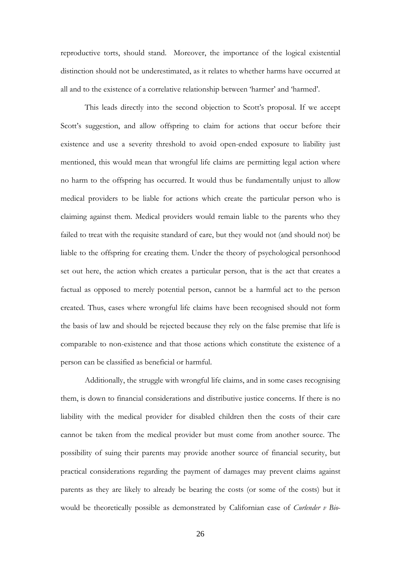reproductive torts, should stand. Moreover, the importance of the logical existential distinction should not be underestimated, as it relates to whether harms have occurred at all and to the existence of a correlative relationship between 'harmer' and 'harmed'.

This leads directly into the second objection to Scott's proposal. If we accept Scott's suggestion, and allow offspring to claim for actions that occur before their existence and use a severity threshold to avoid open-ended exposure to liability just mentioned, this would mean that wrongful life claims are permitting legal action where no harm to the offspring has occurred. It would thus be fundamentally unjust to allow medical providers to be liable for actions which create the particular person who is claiming against them. Medical providers would remain liable to the parents who they failed to treat with the requisite standard of care, but they would not (and should not) be liable to the offspring for creating them. Under the theory of psychological personhood set out here, the action which creates a particular person, that is the act that creates a factual as opposed to merely potential person, cannot be a harmful act to the person created. Thus, cases where wrongful life claims have been recognised should not form the basis of law and should be rejected because they rely on the false premise that life is comparable to non-existence and that those actions which constitute the existence of a person can be classified as beneficial or harmful.

Additionally, the struggle with wrongful life claims, and in some cases recognising them, is down to financial considerations and distributive justice concerns. If there is no liability with the medical provider for disabled children then the costs of their care cannot be taken from the medical provider but must come from another source. The possibility of suing their parents may provide another source of financial security, but practical considerations regarding the payment of damages may prevent claims against parents as they are likely to already be bearing the costs (or some of the costs) but it would be theoretically possible as demonstrated by Californian case of *Curlender v Bio-*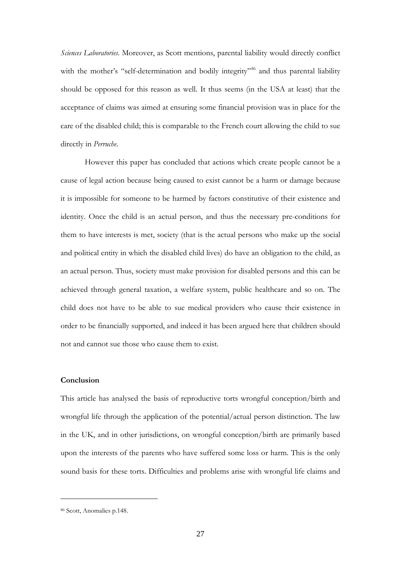*Sciences Laboratories*. Moreover, as Scott mentions, parental liability would directly conflict with the mother's "self-determination and bodily integrity"<sup>[86](#page-26-0)</sup> and thus parental liability should be opposed for this reason as well. It thus seems (in the USA at least) that the acceptance of claims was aimed at ensuring some financial provision was in place for the care of the disabled child; this is comparable to the French court allowing the child to sue directly in *Perruche*.

However this paper has concluded that actions which create people cannot be a cause of legal action because being caused to exist cannot be a harm or damage because it is impossible for someone to be harmed by factors constitutive of their existence and identity. Once the child is an actual person, and thus the necessary pre-conditions for them to have interests is met, society (that is the actual persons who make up the social and political entity in which the disabled child lives) do have an obligation to the child, as an actual person. Thus, society must make provision for disabled persons and this can be achieved through general taxation, a welfare system, public healthcare and so on. The child does not have to be able to sue medical providers who cause their existence in order to be financially supported, and indeed it has been argued here that children should not and cannot sue those who cause them to exist.

#### **Conclusion**

This article has analysed the basis of reproductive torts wrongful conception/birth and wrongful life through the application of the potential/actual person distinction. The law in the UK, and in other jurisdictions, on wrongful conception/birth are primarily based upon the interests of the parents who have suffered some loss or harm. This is the only sound basis for these torts. Difficulties and problems arise with wrongful life claims and

<span id="page-26-0"></span><sup>86</sup> Scott, Anomalies p.148.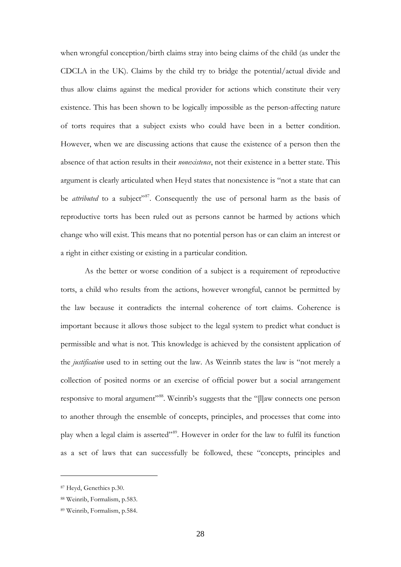when wrongful conception/birth claims stray into being claims of the child (as under the CDCLA in the UK). Claims by the child try to bridge the potential/actual divide and thus allow claims against the medical provider for actions which constitute their very existence. This has been shown to be logically impossible as the person-affecting nature of torts requires that a subject exists who could have been in a better condition. However, when we are discussing actions that cause the existence of a person then the absence of that action results in their *nonexistence*, not their existence in a better state. This argument is clearly articulated when Heyd states that nonexistence is "not a state that can be *attributed* to a subject"<sup>[87](#page-27-0)</sup>. Consequently the use of personal harm as the basis of reproductive torts has been ruled out as persons cannot be harmed by actions which change who will exist. This means that no potential person has or can claim an interest or a right in either existing or existing in a particular condition.

As the better or worse condition of a subject is a requirement of reproductive torts, a child who results from the actions, however wrongful, cannot be permitted by the law because it contradicts the internal coherence of tort claims. Coherence is important because it allows those subject to the legal system to predict what conduct is permissible and what is not. This knowledge is achieved by the consistent application of the *justification* used to in setting out the law. As Weinrib states the law is "not merely a collection of posited norms or an exercise of official power but a social arrangement responsive to moral argument"<sup>88</sup>. Weinrib's suggests that the "[l]aw connects one person to another through the ensemble of concepts, principles, and processes that come into play when a legal claim is asserted"[89](#page-27-2). However in order for the law to fulfil its function as a set of laws that can successfully be followed, these "concepts, principles and

<span id="page-27-0"></span><sup>87</sup> Heyd, Genethics p.30.

<span id="page-27-1"></span><sup>88</sup> Weinrib, Formalism, p.583.

<span id="page-27-2"></span><sup>89</sup> Weinrib, Formalism, p.584.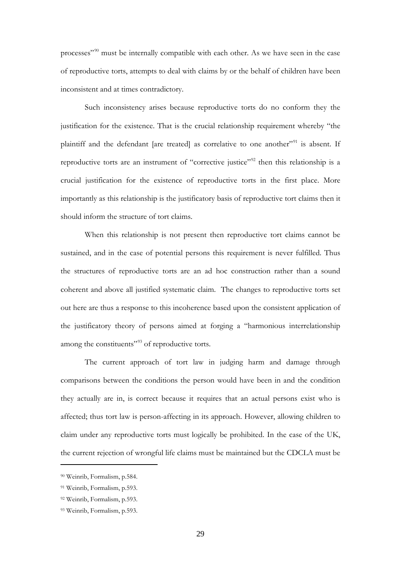processes"[90](#page-28-0) must be internally compatible with each other. As we have seen in the case of reproductive torts, attempts to deal with claims by or the behalf of children have been inconsistent and at times contradictory.

Such inconsistency arises because reproductive torts do no conform they the justification for the existence. That is the crucial relationship requirement whereby "the plaintiff and the defendant [are treated] as correlative to one another"<sup>[91](#page-28-1)</sup> is absent. If reproductive torts are an instrument of "corrective justice"<sup>[92](#page-28-2)</sup> then this relationship is a crucial justification for the existence of reproductive torts in the first place. More importantly as this relationship is the justificatory basis of reproductive tort claims then it should inform the structure of tort claims.

When this relationship is not present then reproductive tort claims cannot be sustained, and in the case of potential persons this requirement is never fulfilled. Thus the structures of reproductive torts are an ad hoc construction rather than a sound coherent and above all justified systematic claim. The changes to reproductive torts set out here are thus a response to this incoherence based upon the consistent application of the justificatory theory of persons aimed at forging a "harmonious interrelationship among the constituents"<sup>[93](#page-28-3)</sup> of reproductive torts.

The current approach of tort law in judging harm and damage through comparisons between the conditions the person would have been in and the condition they actually are in, is correct because it requires that an actual persons exist who is affected; thus tort law is person-affecting in its approach. However, allowing children to claim under any reproductive torts must logically be prohibited. In the case of the UK, the current rejection of wrongful life claims must be maintained but the CDCLA must be

<span id="page-28-0"></span><sup>90</sup> Weinrib, Formalism, p.584.

<span id="page-28-1"></span><sup>91</sup> Weinrib, Formalism, p.593.

<span id="page-28-2"></span><sup>92</sup> Weinrib, Formalism, p.593.

<span id="page-28-3"></span><sup>93</sup> Weinrib, Formalism, p.593.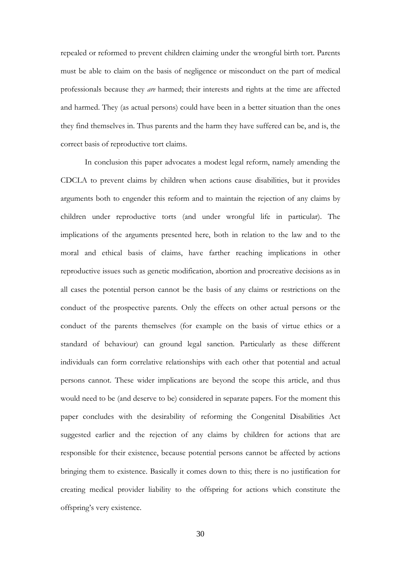repealed or reformed to prevent children claiming under the wrongful birth tort. Parents must be able to claim on the basis of negligence or misconduct on the part of medical professionals because they *are* harmed; their interests and rights at the time are affected and harmed. They (as actual persons) could have been in a better situation than the ones they find themselves in. Thus parents and the harm they have suffered can be, and is, the correct basis of reproductive tort claims.

In conclusion this paper advocates a modest legal reform, namely amending the CDCLA to prevent claims by children when actions cause disabilities, but it provides arguments both to engender this reform and to maintain the rejection of any claims by children under reproductive torts (and under wrongful life in particular). The implications of the arguments presented here, both in relation to the law and to the moral and ethical basis of claims, have farther reaching implications in other reproductive issues such as genetic modification, abortion and procreative decisions as in all cases the potential person cannot be the basis of any claims or restrictions on the conduct of the prospective parents. Only the effects on other actual persons or the conduct of the parents themselves (for example on the basis of virtue ethics or a standard of behaviour) can ground legal sanction. Particularly as these different individuals can form correlative relationships with each other that potential and actual persons cannot. These wider implications are beyond the scope this article, and thus would need to be (and deserve to be) considered in separate papers. For the moment this paper concludes with the desirability of reforming the Congenital Disabilities Act suggested earlier and the rejection of any claims by children for actions that are responsible for their existence, because potential persons cannot be affected by actions bringing them to existence. Basically it comes down to this; there is no justification for creating medical provider liability to the offspring for actions which constitute the offspring's very existence.